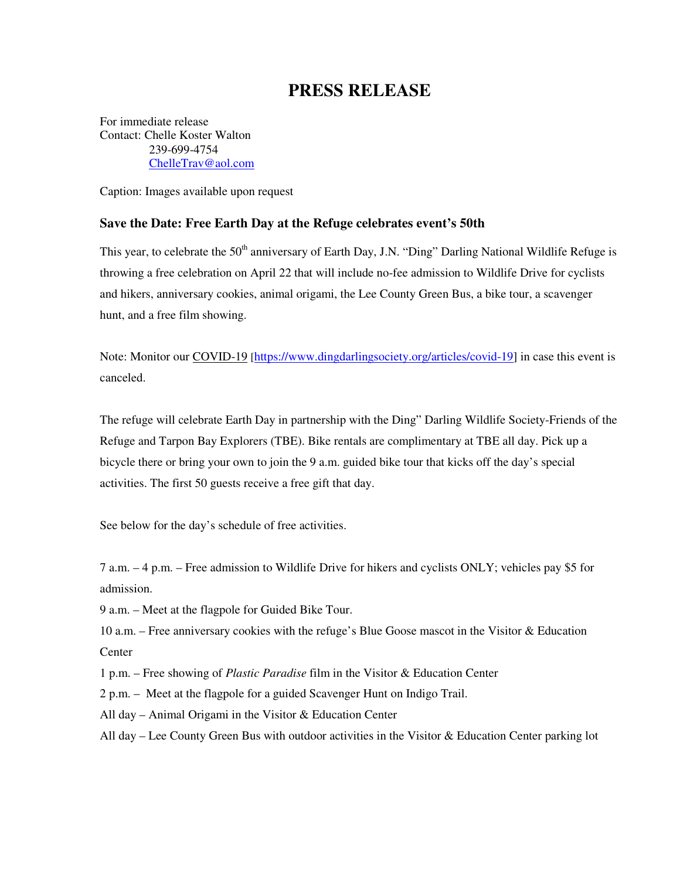## **PRESS RELEASE**

For immediate release Contact: Chelle Koster Walton 239-699-4754 ChelleTrav@aol.com

Caption: Images available upon request

## **Save the Date: Free Earth Day at the Refuge celebrates event's 50th**

This year, to celebrate the 50<sup>th</sup> anniversary of Earth Day, J.N. "Ding" Darling National Wildlife Refuge is throwing a free celebration on April 22 that will include no-fee admission to Wildlife Drive for cyclists and hikers, anniversary cookies, animal origami, the Lee County Green Bus, a bike tour, a scavenger hunt, and a free film showing.

Note: Monitor our COVID-19 [https://www.dingdarlingsociety.org/articles/covid-19] in case this event is canceled.

The refuge will celebrate Earth Day in partnership with the Ding" Darling Wildlife Society-Friends of the Refuge and Tarpon Bay Explorers (TBE). Bike rentals are complimentary at TBE all day. Pick up a bicycle there or bring your own to join the 9 a.m. guided bike tour that kicks off the day's special activities. The first 50 guests receive a free gift that day.

See below for the day's schedule of free activities.

7 a.m. – 4 p.m. – Free admission to Wildlife Drive for hikers and cyclists ONLY; vehicles pay \$5 for admission.

9 a.m. – Meet at the flagpole for Guided Bike Tour.

10 a.m. – Free anniversary cookies with the refuge's Blue Goose mascot in the Visitor & Education **Center** 

1 p.m. – Free showing of *Plastic Paradise* film in the Visitor & Education Center

2 p.m. – Meet at the flagpole for a guided Scavenger Hunt on Indigo Trail.

All day – Animal Origami in the Visitor & Education Center

All day – Lee County Green Bus with outdoor activities in the Visitor & Education Center parking lot